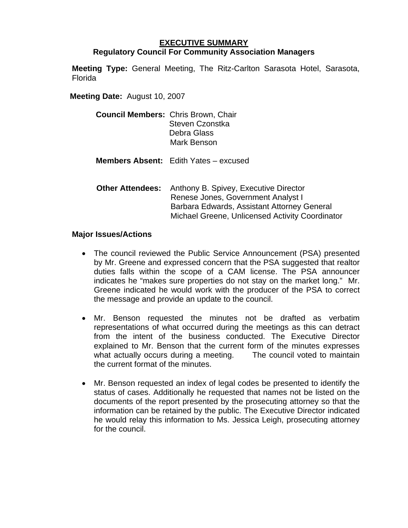## **EXECUTIVE SUMMARY Regulatory Council For Community Association Managers**

**Meeting Type:** General Meeting, The Ritz-Carlton Sarasota Hotel, Sarasota, Florida

**Meeting Date:** August 10, 2007

| <b>Council Members: Chris Brown, Chair</b> |                 |
|--------------------------------------------|-----------------|
|                                            | Steven Czonstka |
|                                            | Debra Glass     |
|                                            | Mark Benson     |
|                                            |                 |

**Members Absent:** Edith Yates – excused

 **Other Attendees:** Anthony B. Spivey, Executive Director Renese Jones, Government Analyst I Barbara Edwards, Assistant Attorney General Michael Greene, Unlicensed Activity Coordinator

## **Major Issues/Actions**

- The council reviewed the Public Service Announcement (PSA) presented by Mr. Greene and expressed concern that the PSA suggested that realtor duties falls within the scope of a CAM license. The PSA announcer indicates he "makes sure properties do not stay on the market long." Mr. Greene indicated he would work with the producer of the PSA to correct the message and provide an update to the council.
- Mr. Benson requested the minutes not be drafted as verbatim representations of what occurred during the meetings as this can detract from the intent of the business conducted. The Executive Director explained to Mr. Benson that the current form of the minutes expresses what actually occurs during a meeting. The council voted to maintain the current format of the minutes.
- Mr. Benson requested an index of legal codes be presented to identify the status of cases. Additionally he requested that names not be listed on the documents of the report presented by the prosecuting attorney so that the information can be retained by the public. The Executive Director indicated he would relay this information to Ms. Jessica Leigh, prosecuting attorney for the council.